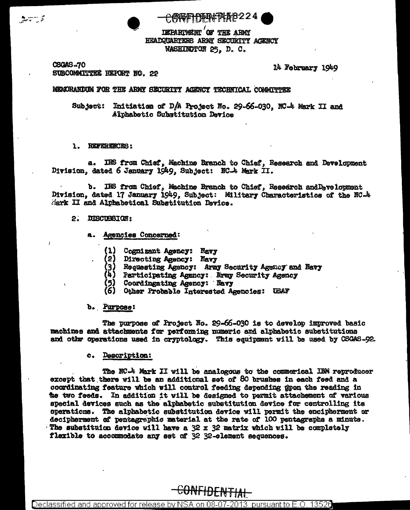$\frac{1}{2}$   $\frac{1}{2}$   $\frac{1}{2}$ 

<del>C. 网络库什科中非科技2</del>224

DEPARTMENT OF THE ARMY HEADQUARTERS ARMY SECURITY ACENCY WASHINGTON 25. D. C.

**CSGAS-70** SUBCOMMITTEE REPORT NO. 22

### 14 February 1949

### NEMORANDUM FOR THE ARMY SECURITY AGENCY TECHNICAL COMMITTER

Subject: Initiation of D/A Project No. 29-66-030, NC-4 Mark II and Alphabetic Substitution Device

#### 1. REFERENCES:

a. IES from Chief, Machine Branch to Chief, Research and Development Division, dated 6 January 1949, Subject: NC-4 Mark II.

b. IRS from Chief, Machine Branch to Chief, Research and Development Division, dated 17 January 1949, Subject: Military Characteristics of the NC-4 Mark II and Alphabetical Substitution Davice.

# 2. DISCUSSION:

- a. Agencies Concerned:
	- Cognizant Agency: Navy  $(1)$
	- Directing Agency: Navy (2)
	- (3)<br>(4) Requesting Agency: Army Security Agency and Navy
	- Participating Agency: Ermy Security Agency
	- Coordingating Agency: Navy
	- (6) Other Probable Interested Agencies: USAF

### b. Purpose:

The purpose of Project No. 29-66-030 is to develop improved basic machines and attachments for performing numeric and alphabetic substitutions and other operations used in cryptology. This equipment will be used by CSGAS-92.

#### Description: c.

The NC-4 Mark II will be analogous to the commerical IBM reproducer except that there will be an additional set of 80 brushes in each feed and a coordinating feature which will control feeding depending gpon the reading in the two feeds. In addition it will be designed to permit attachement of various special devices such as the alphabetic substitution device for centrolling its operations. The alphabetic substitution device will permit the encipherment or decipherment of pentagraphic material at the rate of 100 pentagraphs a minute. The substituion device will have a 32 x 32 matrix which will be completely flexible to accommodate any set of 32 32-element sequences.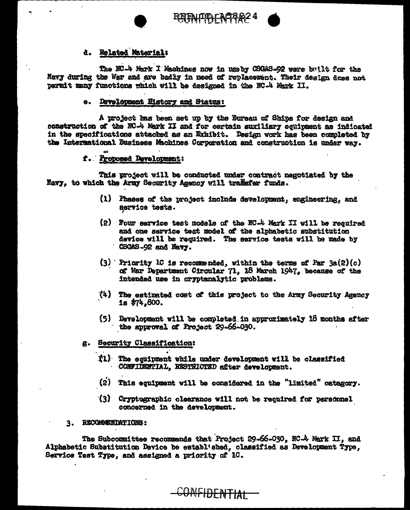

**RETAILIDIFACTORIZ 4** 

# d. Related Material:

The NC-4 Mark I Machines now in useby CSGAS-92 were built for the Navy during the War and are badly in need of replacement. Their design doss not permit many functions which will be designed in the NC-4 Mark II.

# e. Development History and Status:

A project has been set up by the Bureau of Ships for design and construction of the NC-4 Mark II and for certain suxiliary equipment as indicated in the specifications attached as an Exhibit. Design work has been completed by the Intermational Business Machines Corporation and construction is under way.

# f. Proposed Development:

This project will be conducted under contract negotiated by the Navy, to which the Army Security Agency will transfer funds.

- (1) Phases of the project include development, engimeering, and service tests.
- (2) Four service test models of the NC-4 Mark II will be required and one service test model of the alphabetic substitution device will be required. The service tests will be made by CSGAS-92 and Navy.
- $(3)$  Pricrity IC is recommended, within the terms of Par  $3a(2)(c)$ of War Department Circular 71, 18 March 1947, because of the intended use in cryptanalytic problems.
- $(4)$ The estimated cost of this project to the Army Security Agency  $1s$  \$74,800.
- (5) Development will be completed in approximately 18 months after the approval of Project 29-66-030.

# g. Security Classification:

- (1) The equipment while under development will be classified CONFIDENTIAL, RESTRICTED after development.
- (2) This equipment will be considered in the "limited" catagory.
- (3) Cryptographic clearance will not be required for personnel concerned in the development.

# 3. RECOMMENDATIONS:

The Subcounittee recommends that Project 29-66-030, NC-4 Mark II, and Alphabetic Substitution Device be establ'shed. classified as Development Type, Service Test Type, and assigned a priority of 1C.

CONFIDENTIAL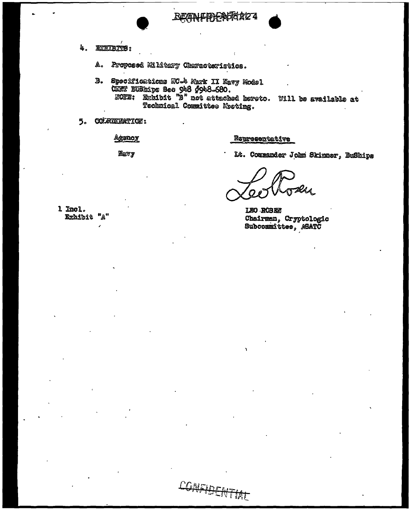

BEANFIDEASTER2

- 4. **EXCHABITS:** 
	- Proposed Mikitary Characteristics. A.,
	- B. Spocifications NC-4 Mark II Navy Model<br>CANT BUShips Sec 948 (948-680.<br>NOTE: Exhibit "B" not attached hereto. Will be available at Technical Committee Mosting.

CONFIDENTIAL

5. COLREERATION:

Agency

Representative

Mavy

Lt. Commander John Skinner, BuShips

LEO ROSEN Chairman, Cryptologic Subcommittee,  $\beta$ SATC

1 Incl. Exhibit "A"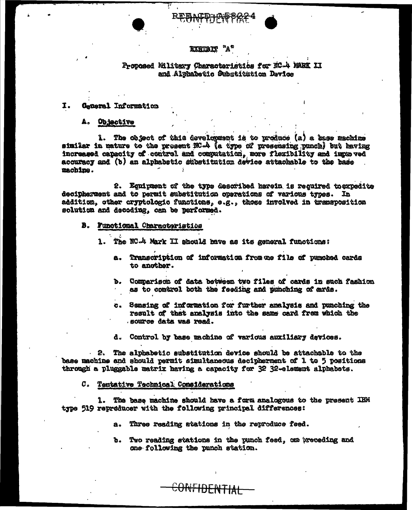### **EXHIBIT "A"**

# Proposed Military Characteristics for NC-4 MARK II and Alphabetic Substitution Device

#### I. General Information

#### А. Objective

1. The object of this development is to produce (a) a hase machine similar in nature to the present NC-4 (a type of presensing punch) but having increased capacity of control and computation, more flexibility and improved accuracy and (b) an alphabetic substitution device attachable to the base machine.

2. Equipment of the type described herein is required to expedite decipherment and to permit substitution operations of various types. In addition, other cryptologic functions, e.g., those involved in transposition solution and decoding, can be performed.

- B. Functional Characteristics
	- 1. The NC-4 Mark II should have as its general functions:
		- Transcription of information from me file of pumched cards a. to another.
		- Comparison of data between two files of cards in such fashion d. as to control both the feeding and punching of ards.
		- c. Sensing of information for further analysis and punching the result of that analysis into the same card from which the source data was read.
		- d. Control by base machine of various auxiliary devices.

2. The alphabetic substitution device should be attachable to the base machine and should permit simultaneous decipherment of 1 to 5 positions through a pluggable matrix having a capacity for 32 32-element alphabets.

#### C. Tentative Technical Considerations

1. The base machine should have a form analogous to the present IBM type 519 repreducer with the following principal differences:

a. Three reading stations in the reproduce feed.

CONFIDENTIAL

b. Two reading stations in the punch feed, one preceding and one following the punch station.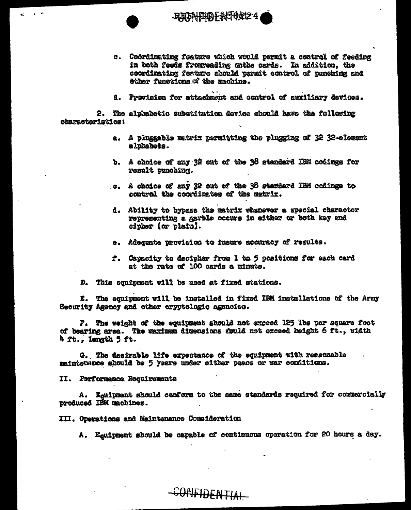

- c. Coordinating feature which would permit a control of feeding in both feeds fromweading onthe cards. In addition, the coordinating feature should parmit control of punching and ether functions of the machine.
- d. Provision for attachment and control of auxiliary devices.

2. The alphabetic substitution device should have the following characteristics:

- a. A pluggable matrix permitting the plugging of 32 32-element alphabets.
- b. A choice of any 32 out of the 38 standard IBN codings for result punching.
- c. A choice of any 32 out of the 38 stardard IBM codings to control the coordinates of the matrix.
- d. Ability to bypass the matrix whanever a special character representing a garble occurs in either or both key and cipher (or plain).
- e. Adequate provision to insure accuracy of results.
- f. Capacity to decipher from 1 to 5 positions for each card at the rate of 100 cards a minute.
- D. This equipment will be used at fixed stations.

E. The equipment will be installed in fixed IBM installations of the Army Security Agency and other cryptologic agencies.

F. The weight of the equipment should not exceed 125 lbs per square foot of bearing area. The maximum dimensions smuld not exceed height 6 ft., width 4 ft., length 5 ft.

G. The desirable life expectance of the equipment with reasonable maintersuce should be 5 years under either peace or war conditions.

CONFIDENTIAL

II. Performance Requirements

A. Equipment should conform to the same standards required for commercially produced IBM machines.

III. Operations and Maintenance Consideration

A. Equipment should be capable of continuous operation for 20 hours a day.